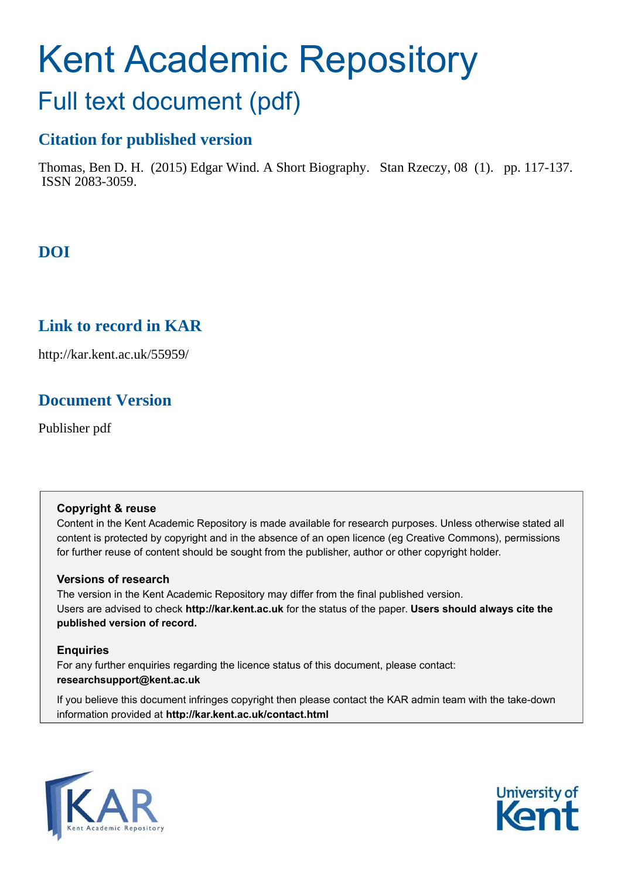# Kent Academic Repository

## Full text document (pdf)

## **Citation for published version**

Thomas, Ben D. H. (2015) Edgar Wind. A Short Biography. Stan Rzeczy, 08 (1). pp. 117-137. ISSN 2083-3059.

## **DOI**

## **Link to record in KAR**

http://kar.kent.ac.uk/55959/

## **Document Version**

Publisher pdf

#### **Copyright & reuse**

Content in the Kent Academic Repository is made available for research purposes. Unless otherwise stated all content is protected by copyright and in the absence of an open licence (eg Creative Commons), permissions for further reuse of content should be sought from the publisher, author or other copyright holder.

#### **Versions of research**

The version in the Kent Academic Repository may differ from the final published version. Users are advised to check **http://kar.kent.ac.uk** for the status of the paper. **Users should always cite the published version of record.**

#### **Enquiries**

For any further enquiries regarding the licence status of this document, please contact: **researchsupport@kent.ac.uk**

If you believe this document infringes copyright then please contact the KAR admin team with the take-down information provided at **http://kar.kent.ac.uk/contact.html**



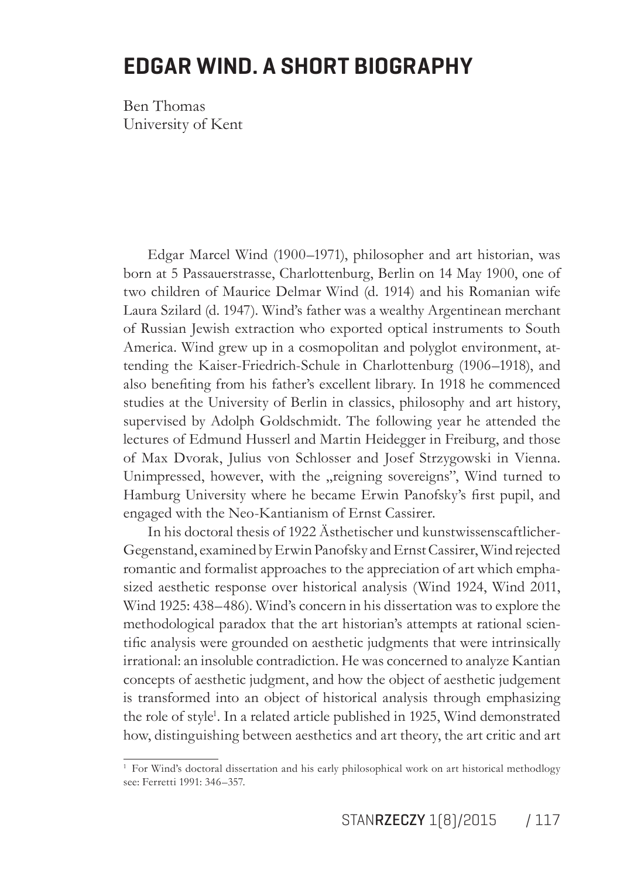## **EDGAR WIND. A SHORT BIOGRAPHY**

Ben Thomas University of Kent

Edgar Marcel Wind (1900-1971), philosopher and art historian, was born at 5 Passauerstrasse, Charlottenburg, Berlin on 14 May 1900, one of two children of Maurice Delmar Wind (d. 1914) and his Romanian wife Laura Szilard (d. 1947). Wind's father was a wealthy Argentinean merchant of Russian Jewish extraction who exported optical instruments to South America. Wind grew up in a cosmopolitan and polyglot environment, attending the Kaiser-Friedrich-Schule in Charlottenburg (1906–1918), and also benefiting from his father's excellent library. In 1918 he commenced studies at the University of Berlin in classics, philosophy and art history, supervised by Adolph Goldschmidt. The following year he attended the lectures of Edmund Husserl and Martin Heidegger in Freiburg, and those of Max Dvorak, Julius von Schlosser and Josef Strzygowski in Vienna. Unimpressed, however, with the "reigning sovereigns", Wind turned to Hamburg University where he became Erwin Panofsky's first pupil, and engaged with the Neo-Kantianism of Ernst Cassirer.

In his doctoral thesis of 1922 Ästhetischer und kunstwissenscaftlicher-Gegenstand, examined by Erwin Panofsky and Ernst Cassirer, Wind rejected romantic and formalist approaches to the appreciation of art which emphasized aesthetic response over historical analysis (Wind 1924, Wind 2011, Wind 1925: 438–486). Wind's concern in his dissertation was to explore the methodological paradox that the art historian's attempts at rational scientific analysis were grounded on aesthetic judgments that were intrinsically irrational: an insoluble contradiction. He was concerned to analyze Kantian concepts of aesthetic judgment, and how the object of aesthetic judgement is transformed into an object of historical analysis through emphasizing the role of style<sup>1</sup>. In a related article published in 1925, Wind demonstrated how, distinguishing between aesthetics and art theory, the art critic and art

<sup>&</sup>lt;sup>1</sup> For Wind's doctoral dissertation and his early philosophical work on art historical methodlogy see: Ferretti 1991: 346–357.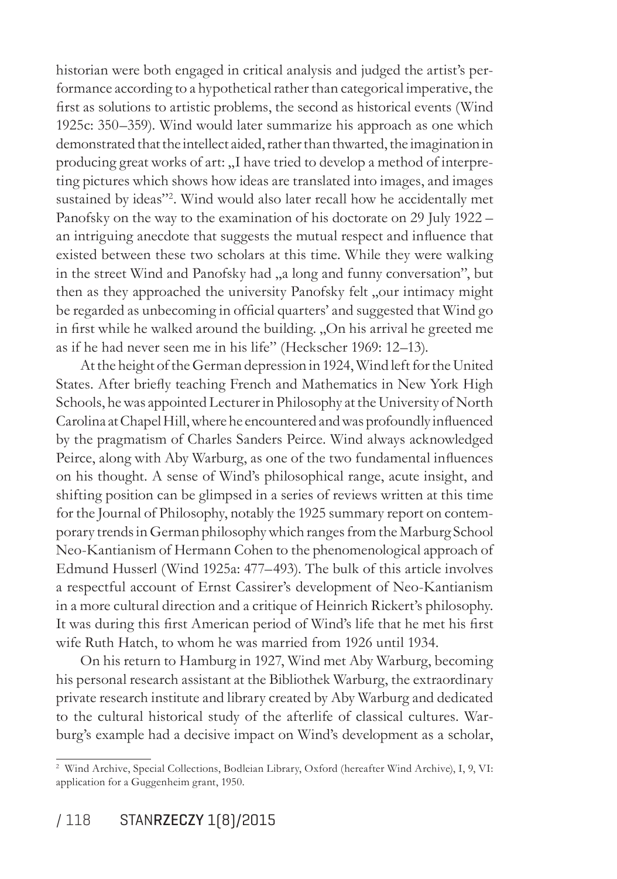historian were both engaged in critical analysis and judged the artist's performance according to a hypothetical rather than categorical imperative, the first as solutions to artistic problems, the second as historical events (Wind 1925c: 350–359). Wind would later summarize his approach as one which demonstrated that the intellect aided, rather than thwarted, the imagination in producing great works of art: "I have tried to develop a method of interpreting pictures which shows how ideas are translated into images, and images sustained by ideas"<sup>2</sup>. Wind would also later recall how he accidentally met Panofsky on the way to the examination of his doctorate on 29 July 1922 – an intriguing anecdote that suggests the mutual respect and inluence that existed between these two scholars at this time. While they were walking in the street Wind and Panofsky had "a long and funny conversation", but then as they approached the university Panofsky felt "our intimacy might be regarded as unbecoming in oficial quarters' and suggested that Wind go in first while he walked around the building. "On his arrival he greeted me as if he had never seen me in his life" (Heckscher 1969: 12–13).

At the height of the German depression in 1924, Wind left for the United States. After briefly teaching French and Mathematics in New York High Schools, he was appointed Lecturer in Philosophy at the University of North Carolina at Chapel Hill, where he encountered and was profoundly inluenced by the pragmatism of Charles Sanders Peirce. Wind always acknowledged Peirce, along with Aby Warburg, as one of the two fundamental inluences on his thought. A sense of Windís philosophical range, acute insight, and shifting position can be glimpsed in a series of reviews written at this time for the Journal of Philosophy, notably the 1925 summary report on contemporary trends in German philosophy which ranges from the Marburg School Neo-Kantianism of Hermann Cohen to the phenomenological approach of Edmund Husserl (Wind 1925a: 477–493). The bulk of this article involves a respectful account of Ernst Cassirer's development of Neo-Kantianism in a more cultural direction and a critique of Heinrich Rickert's philosophy. It was during this first American period of Wind's life that he met his first wife Ruth Hatch, to whom he was married from 1926 until 1934.

On his return to Hamburg in 1927, Wind met Aby Warburg, becoming his personal research assistant at the Bibliothek Warburg, the extraordinary private research institute and library created by Aby Warburg and dedicated to the cultural historical study of the afterlife of classical cultures. Warburg's example had a decisive impact on Wind's development as a scholar,

<sup>2</sup> Wind Archive, Special Collections, Bodleian Library, Oxford (hereafter Wind Archive), I, 9, VI: application for a Guggenheim grant, 1950.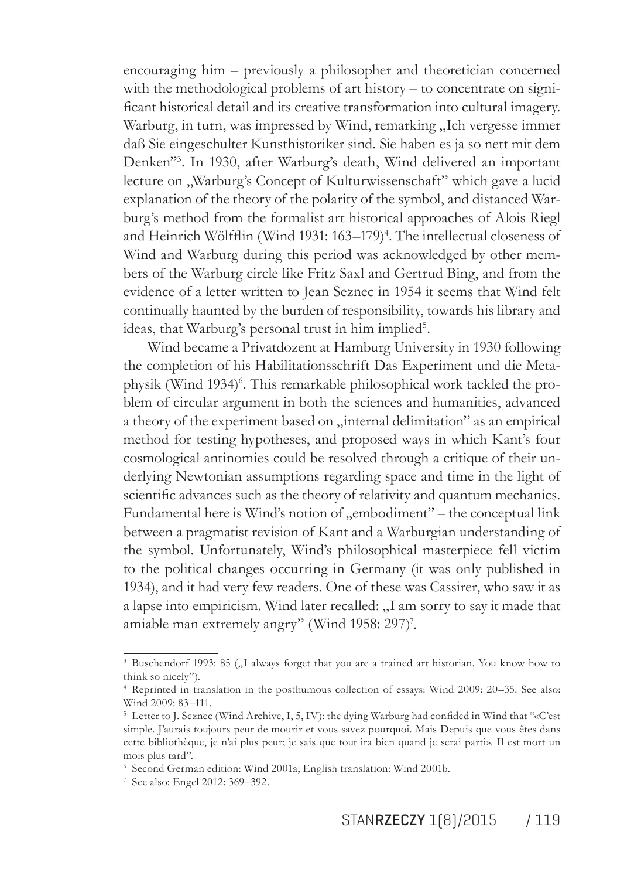encouraging him  $-$  previously a philosopher and theoretician concerned with the methodological problems of art history  $-$  to concentrate on significant historical detail and its creative transformation into cultural imagery. Warburg, in turn, was impressed by Wind, remarking "Ich vergesse immer dafl Sie eingeschulter Kunsthistoriker sind. Sie haben es ja so nett mit dem Denken"<sup>3</sup>. In 1930, after Warburg's death, Wind delivered an important lecture on "Warburg's Concept of Kulturwissenschaft" which gave a lucid explanation of the theory of the polarity of the symbol, and distanced Warburg's method from the formalist art historical approaches of Alois Riegl and Heinrich Wölfflin (Wind 1931: 163–179)<sup>4</sup>. The intellectual closeness of Wind and Warburg during this period was acknowledged by other members of the Warburg circle like Fritz Saxl and Gertrud Bing, and from the evidence of a letter written to Jean Seznec in 1954 it seems that Wind felt continually haunted by the burden of responsibility, towards his library and ideas, that Warburg's personal trust in him implied<sup>5</sup>.

Wind became a Privatdozent at Hamburg University in 1930 following the completion of his Habilitationsschrift Das Experiment und die Metaphysik (Wind 1934)<sup>6</sup>. This remarkable philosophical work tackled the problem of circular argument in both the sciences and humanities, advanced a theory of the experiment based on "internal delimitation" as an empirical method for testing hypotheses, and proposed ways in which Kant's four cosmological antinomies could be resolved through a critique of their underlying Newtonian assumptions regarding space and time in the light of scientific advances such as the theory of relativity and quantum mechanics. Fundamental here is Wind's notion of "embodiment" – the conceptual link between a pragmatist revision of Kant and a Warburgian understanding of the symbol. Unfortunately, Wind's philosophical masterpiece fell victim to the political changes occurring in Germany (it was only published in 1934), and it had very few readers. One of these was Cassirer, who saw it as a lapse into empiricism. Wind later recalled: "I am sorry to say it made that amiable man extremely angry" (Wind 1958: 297)<sup>7</sup>.

<sup>&</sup>lt;sup>3</sup> Buschendorf 1993: 85 ("I always forget that you are a trained art historian. You know how to think so nicely").

<sup>4</sup> Reprinted in translation in the posthumous collection of essays: Wind 2009: 20–35. See also: Wind 2009: 83–111.

<sup>&</sup>lt;sup>5</sup> Letter to J. Seznec (Wind Archive, I, 5, IV): the dying Warburg had confided in Wind that "«C'est simple. J'aurais toujours peur de mourir et vous savez pourquoi. Mais Depuis que vous êtes dans cette bibliothèque, je n'ai plus peur; je sais que tout ira bien quand je serai parti». Il est mort un mois plus tard".

<sup>6</sup> Second German edition: Wind 2001a; English translation: Wind 2001b.

<sup>7</sup> See also: Engel 2012: 369–392.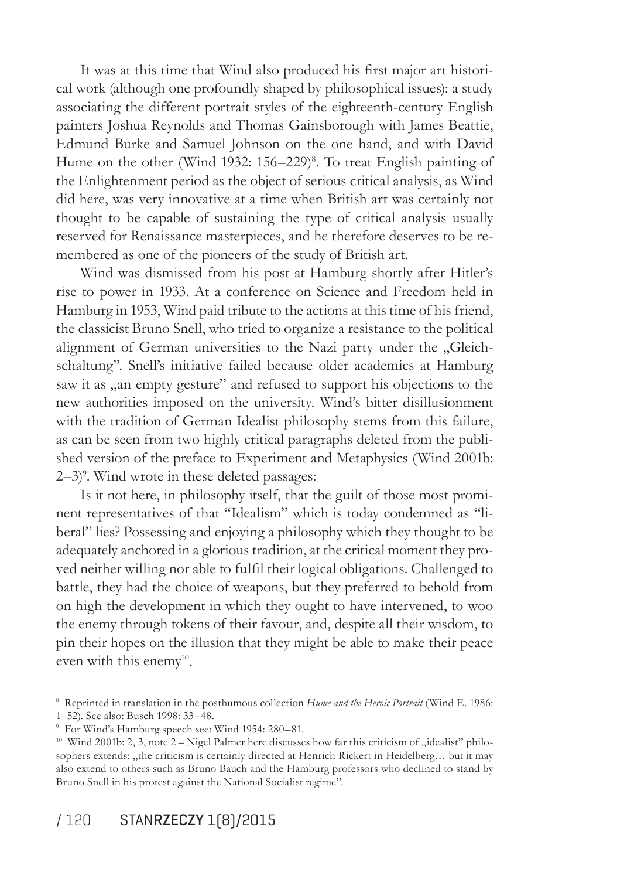It was at this time that Wind also produced his first major art historical work (although one profoundly shaped by philosophical issues): a study associating the different portrait styles of the eighteenth-century English painters Joshua Reynolds and Thomas Gainsborough with James Beattie, Edmund Burke and Samuel Johnson on the one hand, and with David Hume on the other (Wind 1932: 156–229)<sup>8</sup>. To treat English painting of the Enlightenment period as the object of serious critical analysis, as Wind did here, was very innovative at a time when British art was certainly not thought to be capable of sustaining the type of critical analysis usually reserved for Renaissance masterpieces, and he therefore deserves to be remembered as one of the pioneers of the study of British art.

Wind was dismissed from his post at Hamburg shortly after Hitler's rise to power in 1933. At a conference on Science and Freedom held in Hamburg in 1953, Wind paid tribute to the actions at this time of his friend, the classicist Bruno Snell, who tried to organize a resistance to the political alignment of German universities to the Nazi party under the "Gleichschaltung". Snell's initiative failed because older academics at Hamburg saw it as "an empty gesture" and refused to support his objections to the new authorities imposed on the university. Wind's bitter disillusionment with the tradition of German Idealist philosophy stems from this failure, as can be seen from two highly critical paragraphs deleted from the published version of the preface to Experiment and Metaphysics (Wind 2001b: 2–3)<sup>9</sup>. Wind wrote in these deleted passages:

Is it not here, in philosophy itself, that the guilt of those most prominent representatives of that "Idealism" which is today condemned as "liberal" lies? Possessing and enjoying a philosophy which they thought to be adequately anchored in a glorious tradition, at the critical moment they proved neither willing nor able to fulil their logical obligations. Challenged to battle, they had the choice of weapons, but they preferred to behold from on high the development in which they ought to have intervened, to woo the enemy through tokens of their favour, and, despite all their wisdom, to pin their hopes on the illusion that they might be able to make their peace even with this enemy<sup>10</sup>.

<sup>8</sup> Reprinted in translation in the posthumous collection *Hume and the Heroic Portrait* (Wind E. 1986: 1–52). See also: Busch 1998: 33–48.

<sup>9</sup> For Wind's Hamburg speech see: Wind 1954: 280–81.

<sup>&</sup>lt;sup>10</sup> Wind 2001b: 2, 3, note 2 – Nigel Palmer here discusses how far this criticism of "idealist" philosophers extends: "the criticism is certainly directed at Henrich Rickert in Heidelberg… but it may also extend to others such as Bruno Bauch and the Hamburg professors who declined to stand by Bruno Snell in his protest against the National Socialist regime".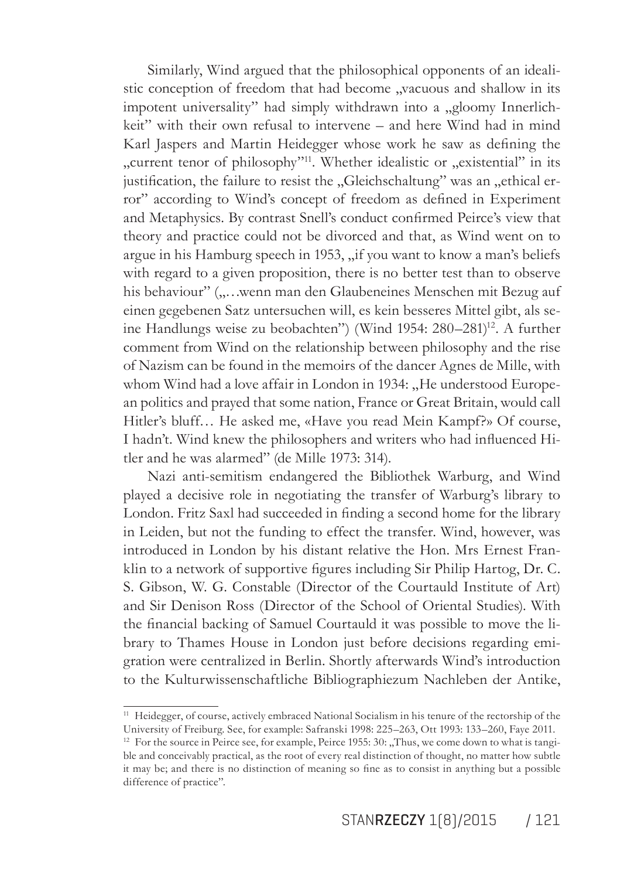Similarly, Wind argued that the philosophical opponents of an idealistic conception of freedom that had become "vacuous and shallow in its impotent universality" had simply withdrawn into a "gloomy Innerlichkeit" with their own refusal to intervene – and here Wind had in mind Karl Jaspers and Martin Heidegger whose work he saw as defining the "current tenor of philosophy"<sup>11</sup>. Whether idealistic or "existential" in its justification, the failure to resist the "Gleichschaltung" was an "ethical error" according to Wind's concept of freedom as deined in Experiment and Metaphysics. By contrast Snell's conduct confirmed Peirce's view that theory and practice could not be divorced and that, as Wind went on to argue in his Hamburg speech in 1953, "if you want to know a man's beliefs with regard to a given proposition, there is no better test than to observe his behaviour" ("...wenn man den Glaubeneines Menschen mit Bezug auf einen gegebenen Satz untersuchen will, es kein besseres Mittel gibt, als seine Handlungs weise zu beobachten") (Wind 1954: 280–281)<sup>12</sup>. A further comment from Wind on the relationship between philosophy and the rise of Nazism can be found in the memoirs of the dancer Agnes de Mille, with whom Wind had a love affair in London in 1934: "He understood European politics and prayed that some nation, France or Great Britain, would call Hitler's bluff… He asked me, «Have you read Mein Kampf?» Of course, I hadn't. Wind knew the philosophers and writers who had inluenced Hitler and he was alarmed" (de Mille 1973: 314).

Nazi anti-semitism endangered the Bibliothek Warburg, and Wind played a decisive role in negotiating the transfer of Warburg's library to London. Fritz Saxl had succeeded in finding a second home for the library in Leiden, but not the funding to effect the transfer. Wind, however, was introduced in London by his distant relative the Hon. Mrs Ernest Franklin to a network of supportive figures including Sir Philip Hartog, Dr. C. S. Gibson, W. G. Constable (Director of the Courtauld Institute of Art) and Sir Denison Ross (Director of the School of Oriental Studies). With the financial backing of Samuel Courtauld it was possible to move the library to Thames House in London just before decisions regarding emigration were centralized in Berlin. Shortly afterwards Windís introduction to the Kulturwissenschaftliche Bibliographiezum Nachleben der Antike,

<sup>&</sup>lt;sup>11</sup> Heidegger, of course, actively embraced National Socialism in his tenure of the rectorship of the University of Freiburg. See, for example: Safranski 1998: 225–263, Ott 1993: 133–260, Faye 2011.

<sup>&</sup>lt;sup>12</sup> For the source in Peirce see, for example, Peirce 1955:  $30:$  "Thus, we come down to what is tangible and conceivably practical, as the root of every real distinction of thought, no matter how subtle it may be; and there is no distinction of meaning so fine as to consist in anything but a possible difference of practice".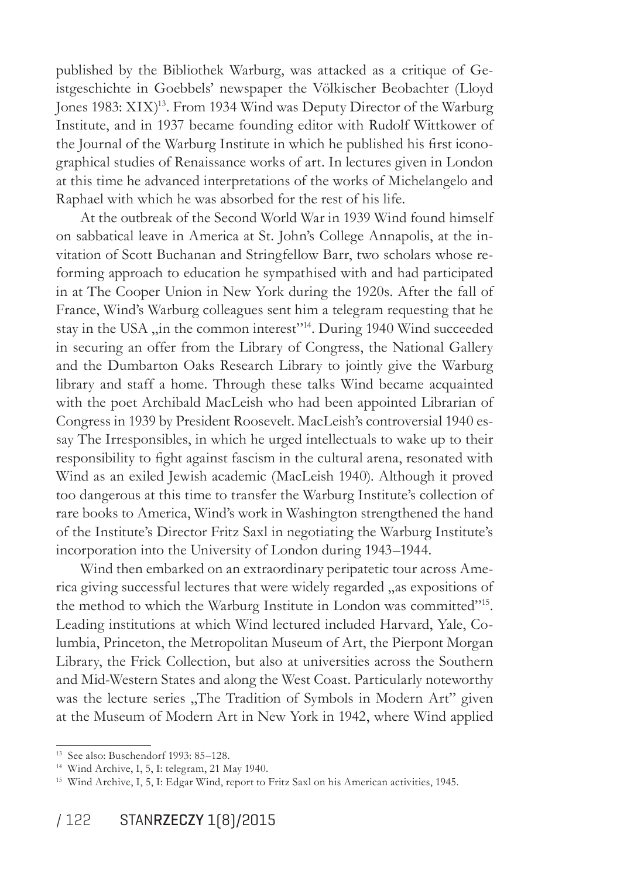published by the Bibliothek Warburg, was attacked as a critique of Geistgeschichte in Goebbels' newspaper the Völkischer Beobachter (Lloyd Jones 1983: XIX)<sup>13</sup>. From 1934 Wind was Deputy Director of the Warburg Institute, and in 1937 became founding editor with Rudolf Wittkower of the Journal of the Warburg Institute in which he published his first iconographical studies of Renaissance works of art. In lectures given in London at this time he advanced interpretations of the works of Michelangelo and Raphael with which he was absorbed for the rest of his life.

At the outbreak of the Second World War in 1939 Wind found himself on sabbatical leave in America at St. Johnís College Annapolis, at the invitation of Scott Buchanan and Stringfellow Barr, two scholars whose reforming approach to education he sympathised with and had participated in at The Cooper Union in New York during the 1920s. After the fall of France, Wind's Warburg colleagues sent him a telegram requesting that he stay in the USA "in the common interest"<sup>14</sup>. During 1940 Wind succeeded in securing an offer from the Library of Congress, the National Gallery and the Dumbarton Oaks Research Library to jointly give the Warburg library and staff a home. Through these talks Wind became acquainted with the poet Archibald MacLeish who had been appointed Librarian of Congress in 1939 by President Roosevelt. MacLeish's controversial 1940 essay The Irresponsibles, in which he urged intellectuals to wake up to their responsibility to fight against fascism in the cultural arena, resonated with Wind as an exiled Jewish academic (MacLeish 1940). Although it proved too dangerous at this time to transfer the Warburg Institute's collection of rare books to America, Wind's work in Washington strengthened the hand of the Institute's Director Fritz Saxl in negotiating the Warburg Institute's incorporation into the University of London during 1943–1944.

Wind then embarked on an extraordinary peripatetic tour across America giving successful lectures that were widely regarded "as expositions of the method to which the Warburg Institute in London was committed"<sup>15</sup>. Leading institutions at which Wind lectured included Harvard, Yale, Columbia, Princeton, the Metropolitan Museum of Art, the Pierpont Morgan Library, the Frick Collection, but also at universities across the Southern and Mid-Western States and along the West Coast. Particularly noteworthy was the lecture series "The Tradition of Symbols in Modern Art" given at the Museum of Modern Art in New York in 1942, where Wind applied

<sup>13</sup> See also: Buschendorf 1993: 85–128.

<sup>14</sup> Wind Archive, I, 5, I: telegram, 21 May 1940.

<sup>15</sup> Wind Archive, I, 5, I: Edgar Wind, report to Fritz Saxl on his American activities, 1945.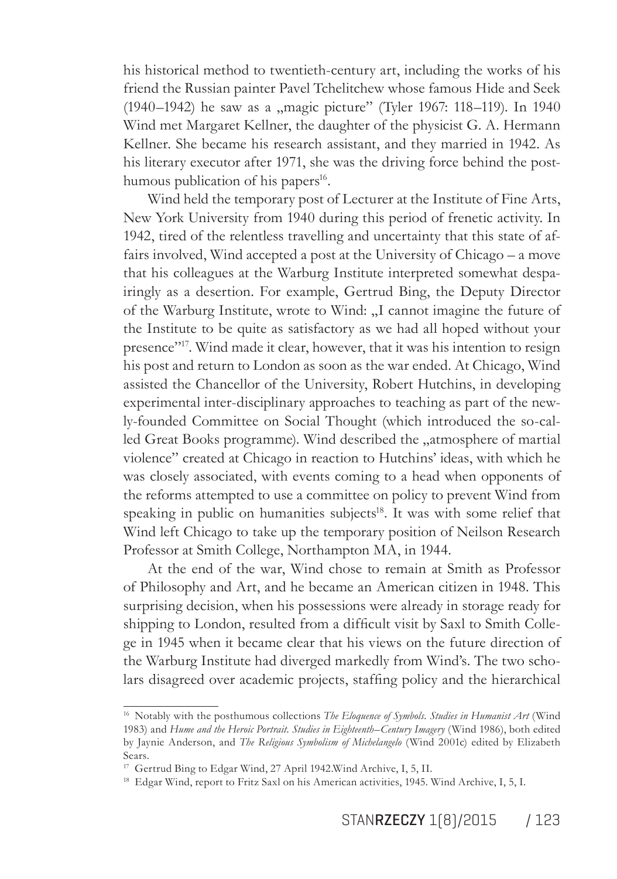his historical method to twentieth-century art, including the works of his friend the Russian painter Pavel Tchelitchew whose famous Hide and Seek (1940–1942) he saw as a "magic picture" (Tyler 1967: 118–119). In 1940 Wind met Margaret Kellner, the daughter of the physicist G. A. Hermann Kellner. She became his research assistant, and they married in 1942. As his literary executor after 1971, she was the driving force behind the posthumous publication of his papers<sup>16</sup>.

Wind held the temporary post of Lecturer at the Institute of Fine Arts, New York University from 1940 during this period of frenetic activity. In 1942, tired of the relentless travelling and uncertainty that this state of affairs involved, Wind accepted a post at the University of Chicago  $-$  a move that his colleagues at the Warburg Institute interpreted somewhat despairingly as a desertion. For example, Gertrud Bing, the Deputy Director of the Warburg Institute, wrote to Wind: "I cannot imagine the future of the Institute to be quite as satisfactory as we had all hoped without your presence<sup>317</sup>. Wind made it clear, however, that it was his intention to resign his post and return to London as soon as the war ended. At Chicago, Wind assisted the Chancellor of the University, Robert Hutchins, in developing experimental inter-disciplinary approaches to teaching as part of the newly-founded Committee on Social Thought (which introduced the so-called Great Books programme). Wind described the "atmosphere of martial violence" created at Chicago in reaction to Hutchins' ideas, with which he was closely associated, with events coming to a head when opponents of the reforms attempted to use a committee on policy to prevent Wind from speaking in public on humanities subjects<sup>18</sup>. It was with some relief that Wind left Chicago to take up the temporary position of Neilson Research Professor at Smith College, Northampton MA, in 1944.

At the end of the war, Wind chose to remain at Smith as Professor of Philosophy and Art, and he became an American citizen in 1948. This surprising decision, when his possessions were already in storage ready for shipping to London, resulted from a dificult visit by Saxl to Smith College in 1945 when it became clear that his views on the future direction of the Warburg Institute had diverged markedly from Wind's. The two scholars disagreed over academic projects, stafing policy and the hierarchical

<sup>16</sup> Notably with the posthumous collections *The Eloquence of Symbols. Studies in Humanist Art* (Wind 1983) and *Hume and the Heroic Portrait. Studies in Eighteenth-Century Imagery* (Wind 1986), both edited by Jaynie Anderson, and *The Religious Symbolism of Michelangelo* (Wind 2001c) edited by Elizabeth Sears.

<sup>17</sup> Gertrud Bing to Edgar Wind, 27 April 1942.Wind Archive, I, 5, II.

<sup>&</sup>lt;sup>18</sup> Edgar Wind, report to Fritz Saxl on his American activities, 1945. Wind Archive, I, 5, I.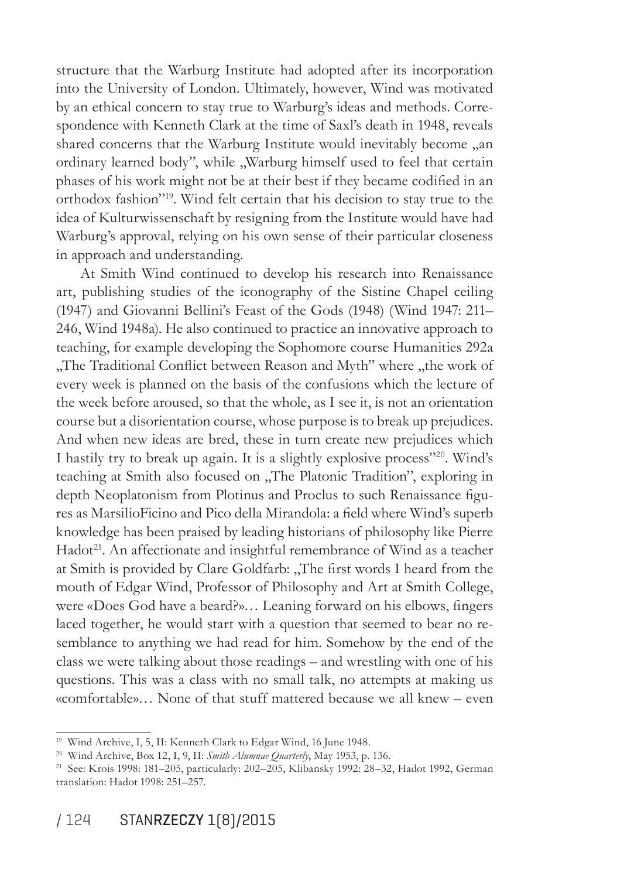structure that the Warburg Institute had adopted after its incorporation into the University of London. Ultimately, however, Wind was motivated by an ethical concern to stay true to Warburg's ideas and methods. Correspondence with Kenneth Clark at the time of Saxl's death in 1948, reveals shared concerns that the Warburg Institute would inevitably become "an ordinary learned body", while "Warburg himself used to feel that certain phases of his work might not be at their best if they became codified in an orthodox fashion"<sup>19</sup>. Wind felt certain that his decision to stay true to the idea of Kulturwissenschaft by resigning from the Institute would have had Warburg's approval, relying on his own sense of their particular closeness in approach and understanding.

At Smith Wind continued to develop his research into Renaissance art, publishing studies of the iconography of the Sistine Chapel ceiling (1947) and Giovanni Bellini's Feast of the Gods (1948) (Wind 1947: 211– 246, Wind 1948a). He also continued to practice an innovative approach to teaching, for example developing the Sophomore course Humanities 292a "The Traditional Conflict between Reason and Myth" where "the work of every week is planned on the basis of the confusions which the lecture of the week before aroused, so that the whole, as I see it, is not an orientation course but a disorientation course, whose purpose is to break up prejudices. And when new ideas are bred, these in turn create new prejudices which I hastily try to break up again. It is a slightly explosive process"<sup>20</sup>. Wind's teaching at Smith also focused on "The Platonic Tradition", exploring in depth Neoplatonism from Plotinus and Proclus to such Renaissance figures as MarsilioFicino and Pico della Mirandola: a field where Wind's superb knowledge has been praised by leading historians of philosophy like Pierre Hadot<sup>21</sup>. An affectionate and insightful remembrance of Wind as a teacher at Smith is provided by Clare Goldfarb: "The first words I heard from the mouth of Edgar Wind, Professor of Philosophy and Art at Smith College, were «Does God have a beard?»... Leaning forward on his elbows, fingers laced together, he would start with a question that seemed to bear no resemblance to anything we had read for him. Somehow by the end of the class we were talking about those readings – and wrestling with one of his questions. This was a class with no small talk, no attempts at making us «comfortable»… None of that stuff mattered because we all knew – even

<sup>&</sup>lt;sup>19</sup> Wind Archive, I, 5, II: Kenneth Clark to Edgar Wind, 16 June 1948.

<sup>20</sup> Wind Archive, Box 12, I, 9, II: *Smith Alumnae Quarterly*, May 1953, p. 136.

<sup>21</sup> See: Krois 1998: 181–205, particularly: 202–205, Klibansky 1992: 28–32, Hadot 1992, German translation: Hadot 1998: 251–257.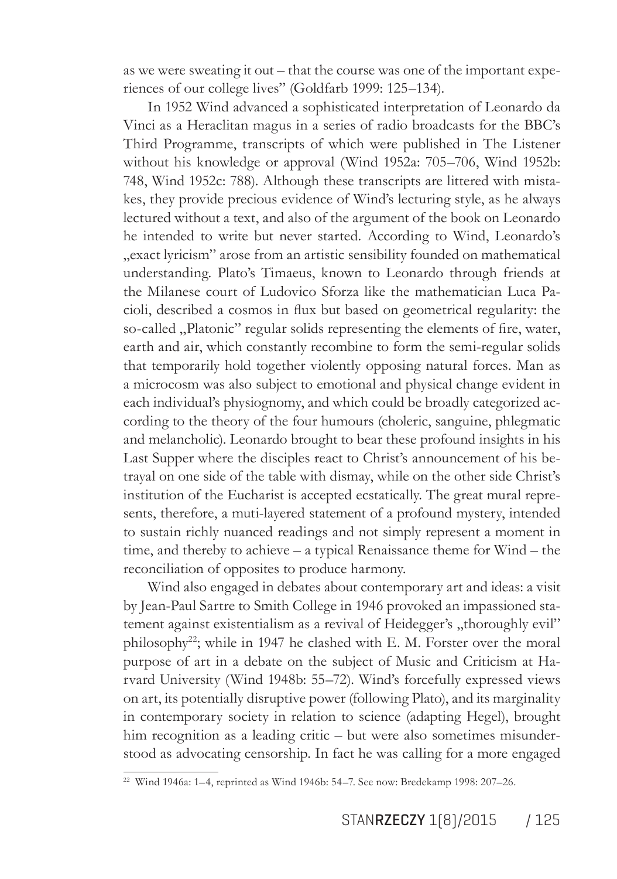as we were sweating it out – that the course was one of the important experiences of our college lives" (Goldfarb 1999: 125–134).

In 1952 Wind advanced a sophisticated interpretation of Leonardo da Vinci as a Heraclitan magus in a series of radio broadcasts for the BBC's Third Programme, transcripts of which were published in The Listener without his knowledge or approval (Wind 1952a: 705–706, Wind 1952b: 748, Wind 1952c: 788). Although these transcripts are littered with mistakes, they provide precious evidence of Wind's lecturing style, as he always lectured without a text, and also of the argument of the book on Leonardo he intended to write but never started. According to Wind, Leonardoís "exact lyricism" arose from an artistic sensibility founded on mathematical understanding. Platoís Timaeus, known to Leonardo through friends at the Milanese court of Ludovico Sforza like the mathematician Luca Pacioli, described a cosmos in lux but based on geometrical regularity: the so-called "Platonic" regular solids representing the elements of fire, water, earth and air, which constantly recombine to form the semi-regular solids that temporarily hold together violently opposing natural forces. Man as a microcosm was also subject to emotional and physical change evident in each individual's physiognomy, and which could be broadly categorized according to the theory of the four humours (choleric, sanguine, phlegmatic and melancholic). Leonardo brought to bear these profound insights in his Last Supper where the disciples react to Christ's announcement of his betrayal on one side of the table with dismay, while on the other side Christ's institution of the Eucharist is accepted ecstatically. The great mural represents, therefore, a muti-layered statement of a profound mystery, intended to sustain richly nuanced readings and not simply represent a moment in time, and thereby to achieve  $-$  a typical Renaissance theme for Wind  $-$  the reconciliation of opposites to produce harmony.

Wind also engaged in debates about contemporary art and ideas: a visit by Jean-Paul Sartre to Smith College in 1946 provoked an impassioned statement against existentialism as a revival of Heidegger's "thoroughly evil" philosophy<sup>22</sup>; while in 1947 he clashed with E. M. Forster over the moral purpose of art in a debate on the subject of Music and Criticism at Harvard University (Wind 1948b: 55–72). Wind's forcefully expressed views on art, its potentially disruptive power (following Plato), and its marginality in contemporary society in relation to science (adapting Hegel), brought him recognition as a leading critic – but were also sometimes misunderstood as advocating censorship. In fact he was calling for a more engaged

<sup>22</sup> Wind 1946a: 1–4, reprinted as Wind 1946b: 54–7. See now: Bredekamp 1998: 207–26.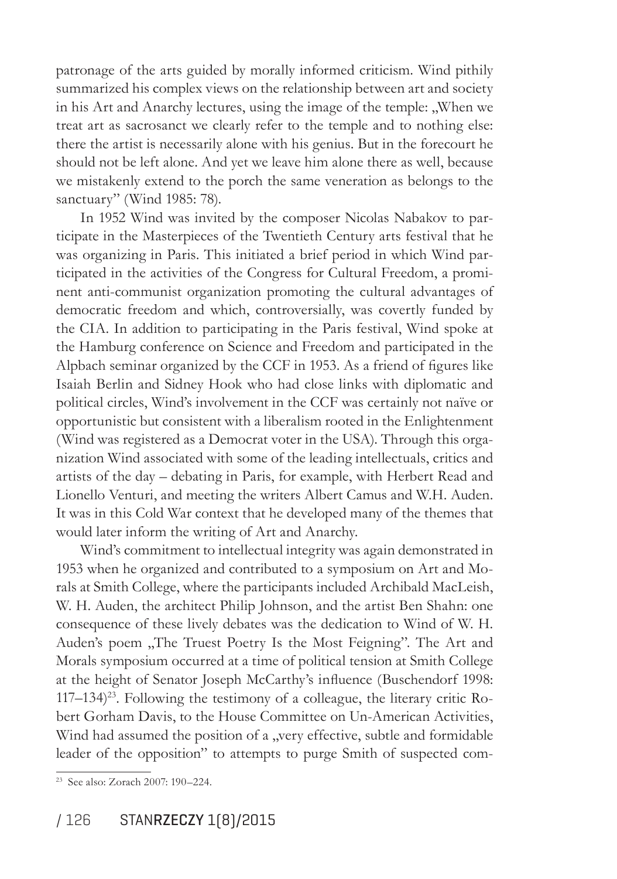patronage of the arts guided by morally informed criticism. Wind pithily summarized his complex views on the relationship between art and society in his Art and Anarchy lectures, using the image of the temple: "When we treat art as sacrosanct we clearly refer to the temple and to nothing else: there the artist is necessarily alone with his genius. But in the forecourt he should not be left alone. And yet we leave him alone there as well, because we mistakenly extend to the porch the same veneration as belongs to the sanctuary" (Wind 1985: 78).

In 1952 Wind was invited by the composer Nicolas Nabakov to participate in the Masterpieces of the Twentieth Century arts festival that he was organizing in Paris. This initiated a brief period in which Wind participated in the activities of the Congress for Cultural Freedom, a prominent anti-communist organization promoting the cultural advantages of democratic freedom and which, controversially, was covertly funded by the CIA. In addition to participating in the Paris festival, Wind spoke at the Hamburg conference on Science and Freedom and participated in the Alpbach seminar organized by the CCF in 1953. As a friend of figures like Isaiah Berlin and Sidney Hook who had close links with diplomatic and political circles, Wind's involvement in the CCF was certainly not naïve or opportunistic but consistent with a liberalism rooted in the Enlightenment (Wind was registered as a Democrat voter in the USA). Through this organization Wind associated with some of the leading intellectuals, critics and artists of the day – debating in Paris, for example, with Herbert Read and Lionello Venturi, and meeting the writers Albert Camus and W.H. Auden. It was in this Cold War context that he developed many of the themes that would later inform the writing of Art and Anarchy.

Wind's commitment to intellectual integrity was again demonstrated in 1953 when he organized and contributed to a symposium on Art and Morals at Smith College, where the participants included Archibald MacLeish, W. H. Auden, the architect Philip Johnson, and the artist Ben Shahn: one consequence of these lively debates was the dedication to Wind of W. H. Auden's poem "The Truest Poetry Is the Most Feigning". The Art and Morals symposium occurred at a time of political tension at Smith College at the height of Senator Joseph McCarthy's inluence (Buschendorf 1998:  $117-134)^{23}$ . Following the testimony of a colleague, the literary critic Robert Gorham Davis, to the House Committee on Un-American Activities, Wind had assumed the position of a "very effective, subtle and formidable leader of the opposition" to attempts to purge Smith of suspected com-

<sup>23</sup> See also: Zorach 2007: 190–224.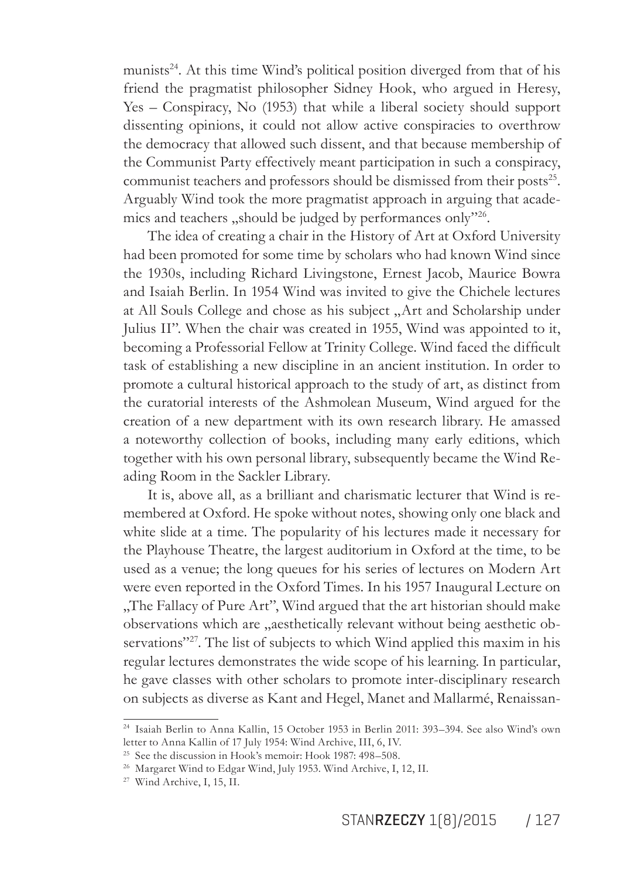munists<sup>24</sup>. At this time Wind's political position diverged from that of his friend the pragmatist philosopher Sidney Hook, who argued in Heresy, Yes – Conspiracy, No (1953) that while a liberal society should support dissenting opinions, it could not allow active conspiracies to overthrow the democracy that allowed such dissent, and that because membership of the Communist Party effectively meant participation in such a conspiracy, communist teachers and professors should be dismissed from their posts<sup>25</sup>. Arguably Wind took the more pragmatist approach in arguing that academics and teachers "should be judged by performances only"<sup>26</sup>.

The idea of creating a chair in the History of Art at Oxford University had been promoted for some time by scholars who had known Wind since the 1930s, including Richard Livingstone, Ernest Jacob, Maurice Bowra and Isaiah Berlin. In 1954 Wind was invited to give the Chichele lectures at All Souls College and chose as his subject "Art and Scholarship under Julius II". When the chair was created in 1955, Wind was appointed to it, becoming a Professorial Fellow at Trinity College. Wind faced the dificult task of establishing a new discipline in an ancient institution. In order to promote a cultural historical approach to the study of art, as distinct from the curatorial interests of the Ashmolean Museum, Wind argued for the creation of a new department with its own research library. He amassed a noteworthy collection of books, including many early editions, which together with his own personal library, subsequently became the Wind Reading Room in the Sackler Library.

It is, above all, as a brilliant and charismatic lecturer that Wind is remembered at Oxford. He spoke without notes, showing only one black and white slide at a time. The popularity of his lectures made it necessary for the Playhouse Theatre, the largest auditorium in Oxford at the time, to be used as a venue; the long queues for his series of lectures on Modern Art were even reported in the Oxford Times. In his 1957 Inaugural Lecture on "The Fallacy of Pure Art", Wind argued that the art historian should make observations which are "aesthetically relevant without being aesthetic observations"<sup>27</sup>. The list of subjects to which Wind applied this maxim in his regular lectures demonstrates the wide scope of his learning. In particular, he gave classes with other scholars to promote inter-disciplinary research on subjects as diverse as Kant and Hegel, Manet and Mallarmé, Renaissan-

<sup>24</sup> Isaiah Berlin to Anna Kallin, 15 October 1953 in Berlin 2011: 393–394. See also Wind's own letter to Anna Kallin of 17 July 1954: Wind Archive, III, 6, IV.

<sup>25</sup> See the discussion in Hook's memoir: Hook 1987: 498–508.

<sup>26</sup> Margaret Wind to Edgar Wind, July 1953. Wind Archive, I, 12, II.

<sup>27</sup> Wind Archive, I, 15, II.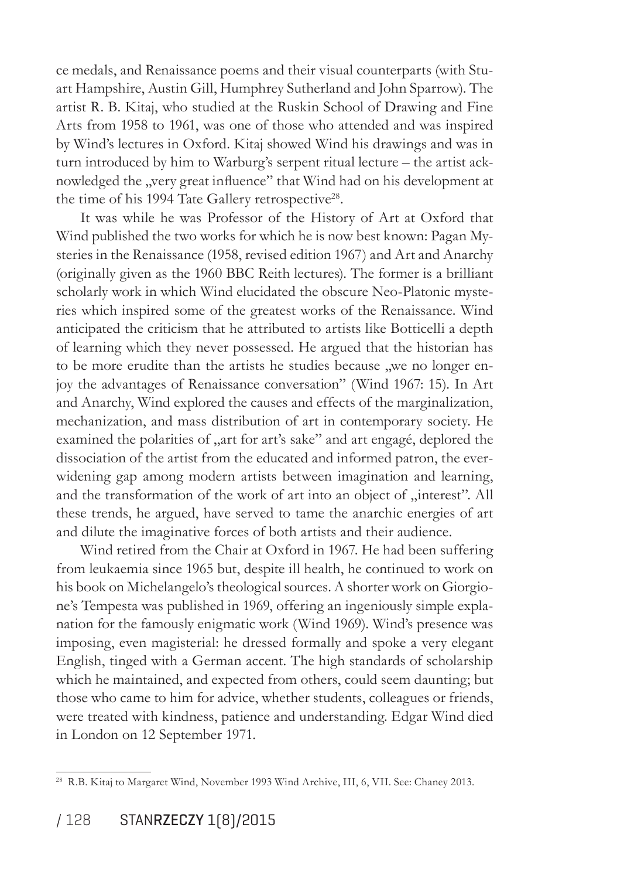ce medals, and Renaissance poems and their visual counterparts (with Stuart Hampshire, Austin Gill, Humphrey Sutherland and John Sparrow). The artist R. B. Kitaj, who studied at the Ruskin School of Drawing and Fine Arts from 1958 to 1961, was one of those who attended and was inspired by Wind's lectures in Oxford. Kitaj showed Wind his drawings and was in turn introduced by him to Warburg's serpent ritual lecture – the artist acknowledged the "very great influence" that Wind had on his development at the time of his 1994 Tate Gallery retrospective<sup>28</sup>.

It was while he was Professor of the History of Art at Oxford that Wind published the two works for which he is now best known: Pagan Mysteries in the Renaissance (1958, revised edition 1967) and Art and Anarchy (originally given as the 1960 BBC Reith lectures). The former is a brilliant scholarly work in which Wind elucidated the obscure Neo-Platonic mysteries which inspired some of the greatest works of the Renaissance. Wind anticipated the criticism that he attributed to artists like Botticelli a depth of learning which they never possessed. He argued that the historian has to be more erudite than the artists he studies because we no longer enjoy the advantages of Renaissance conversation" (Wind 1967: 15). In Art and Anarchy, Wind explored the causes and effects of the marginalization, mechanization, and mass distribution of art in contemporary society. He examined the polarities of "art for art's sake" and art engagé, deplored the dissociation of the artist from the educated and informed patron, the everwidening gap among modern artists between imagination and learning, and the transformation of the work of art into an object of "interest". All these trends, he argued, have served to tame the anarchic energies of art and dilute the imaginative forces of both artists and their audience.

Wind retired from the Chair at Oxford in 1967. He had been suffering from leukaemia since 1965 but, despite ill health, he continued to work on his book on Michelangelo's theological sources. A shorter work on Giorgione's Tempesta was published in 1969, offering an ingeniously simple explanation for the famously enigmatic work (Wind 1969). Wind's presence was imposing, even magisterial: he dressed formally and spoke a very elegant English, tinged with a German accent. The high standards of scholarship which he maintained, and expected from others, could seem daunting; but those who came to him for advice, whether students, colleagues or friends, were treated with kindness, patience and understanding. Edgar Wind died in London on 12 September 1971.

<sup>&</sup>lt;sup>28</sup> R.B. Kitaj to Margaret Wind, November 1993 Wind Archive, III, 6, VII. See: Chaney 2013.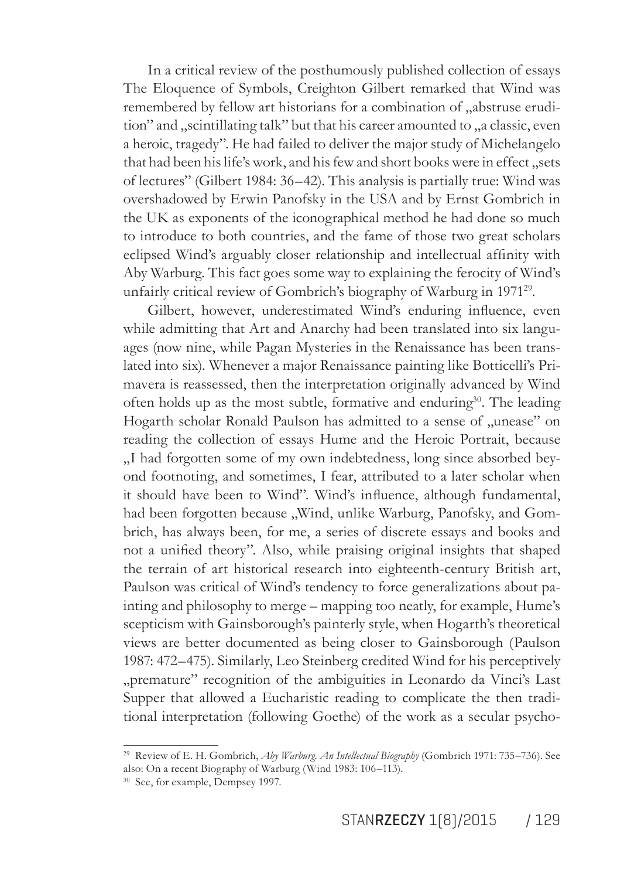In a critical review of the posthumously published collection of essays The Eloquence of Symbols, Creighton Gilbert remarked that Wind was remembered by fellow art historians for a combination of "abstruse erudition" and "scintillating talk" but that his career amounted to "a classic, even a heroic, tragedy". He had failed to deliver the major study of Michelangelo that had been his life's work, and his few and short books were in effect, sets of lectures" (Gilbert 1984: 36–42). This analysis is partially true: Wind was overshadowed by Erwin Panofsky in the USA and by Ernst Gombrich in the UK as exponents of the iconographical method he had done so much to introduce to both countries, and the fame of those two great scholars eclipsed Wind's arguably closer relationship and intellectual afinity with Aby Warburg. This fact goes some way to explaining the ferocity of Wind's unfairly critical review of Gombrich's biography of Warburg in 1971<sup>29</sup>.

Gilbert, however, underestimated Wind's enduring influence, even while admitting that Art and Anarchy had been translated into six languages (now nine, while Pagan Mysteries in the Renaissance has been translated into six). Whenever a major Renaissance painting like Botticelliís Primavera is reassessed, then the interpretation originally advanced by Wind often holds up as the most subtle, formative and enduring<sup>30</sup>. The leading Hogarth scholar Ronald Paulson has admitted to a sense of "unease" on reading the collection of essays Hume and the Heroic Portrait, because "I had forgotten some of my own indebtedness, long since absorbed beyond footnoting, and sometimes, I fear, attributed to a later scholar when it should have been to Wind". Wind's inluence, although fundamental, had been forgotten because "Wind, unlike Warburg, Panofsky, and Gombrich, has always been, for me, a series of discrete essays and books and not a unified theory". Also, while praising original insights that shaped the terrain of art historical research into eighteenth-century British art, Paulson was critical of Wind's tendency to force generalizations about painting and philosophy to merge – mapping too neatly, for example, Hume's scepticism with Gainsborough's painterly style, when Hogarth's theoretical views are better documented as being closer to Gainsborough (Paulson 1987: 472–475). Similarly, Leo Steinberg credited Wind for his perceptively "premature" recognition of the ambiguities in Leonardo da Vinci's Last Supper that allowed a Eucharistic reading to complicate the then traditional interpretation (following Goethe) of the work as a secular psycho-

<sup>29</sup> Review of E. H. Gombrich, *Aby Warburg. An Intellectual Biography* (Gombrich 1971: 735–736). See also: On a recent Biography of Warburg (Wind 1983: 106–113).

<sup>&</sup>lt;sup>30</sup> See, for example, Dempsey 1997.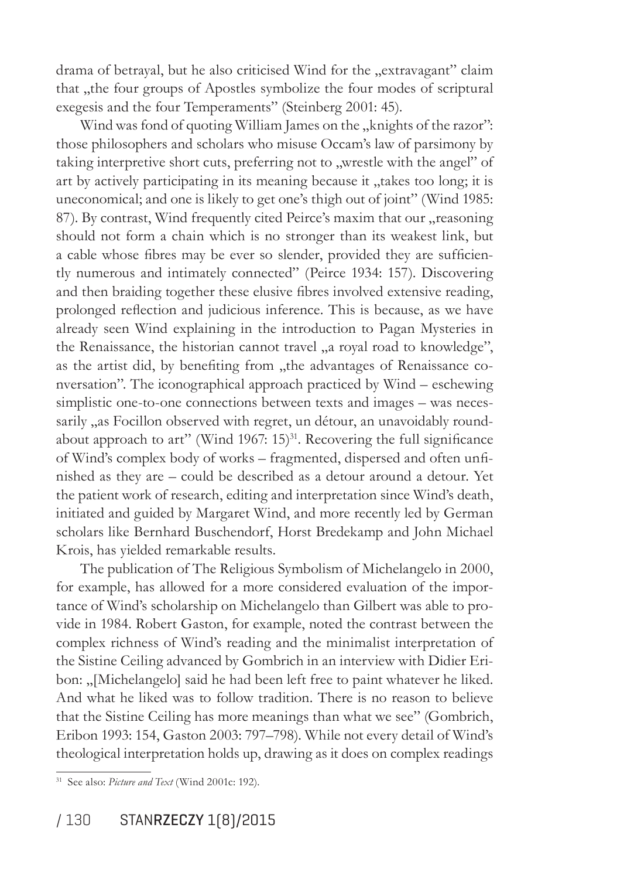drama of betrayal, but he also criticised Wind for the "extravagant" claim that "the four groups of Apostles symbolize the four modes of scriptural exegesis and the four Temperaments" (Steinberg 2001: 45).

Wind was fond of quoting William James on the "knights of the razor": those philosophers and scholars who misuse Occam's law of parsimony by taking interpretive short cuts, preferring not to "wrestle with the angel" of art by actively participating in its meaning because it "takes too long; it is uneconomical; and one is likely to get one's thigh out of joint" (Wind 1985: 87). By contrast, Wind frequently cited Peirce's maxim that our "reasoning should not form a chain which is no stronger than its weakest link, but a cable whose fibres may be ever so slender, provided they are sufficiently numerous and intimately connected" (Peirce 1934: 157). Discovering and then braiding together these elusive ibres involved extensive reading, prolonged relection and judicious inference. This is because, as we have already seen Wind explaining in the introduction to Pagan Mysteries in the Renaissance, the historian cannot travel "a royal road to knowledge", as the artist did, by benefiting from "the advantages of Renaissance conversation". The iconographical approach practiced by Wind – eschewing simplistic one-to-one connections between texts and images – was necessarily "as Focillon observed with regret, un détour, an unavoidably roundabout approach to art" (Wind 1967:  $15$ )<sup>31</sup>. Recovering the full significance of Wind's complex body of works – fragmented, dispersed and often uninished as they are – could be described as a detour around a detour. Yet the patient work of research, editing and interpretation since Wind's death, initiated and guided by Margaret Wind, and more recently led by German scholars like Bernhard Buschendorf, Horst Bredekamp and John Michael Krois, has yielded remarkable results.

The publication of The Religious Symbolism of Michelangelo in 2000, for example, has allowed for a more considered evaluation of the importance of Wind's scholarship on Michelangelo than Gilbert was able to provide in 1984. Robert Gaston, for example, noted the contrast between the complex richness of Wind's reading and the minimalist interpretation of the Sistine Ceiling advanced by Gombrich in an interview with Didier Eribon: "[Michelangelo] said he had been left free to paint whatever he liked. And what he liked was to follow tradition. There is no reason to believe that the Sistine Ceiling has more meanings than what we see" (Gombrich, Eribon 1993: 154, Gaston 2003: 797–798). While not every detail of Wind's theological interpretation holds up, drawing as it does on complex readings

<sup>31</sup> See also: *Picture and Text* (Wind 2001c: 192).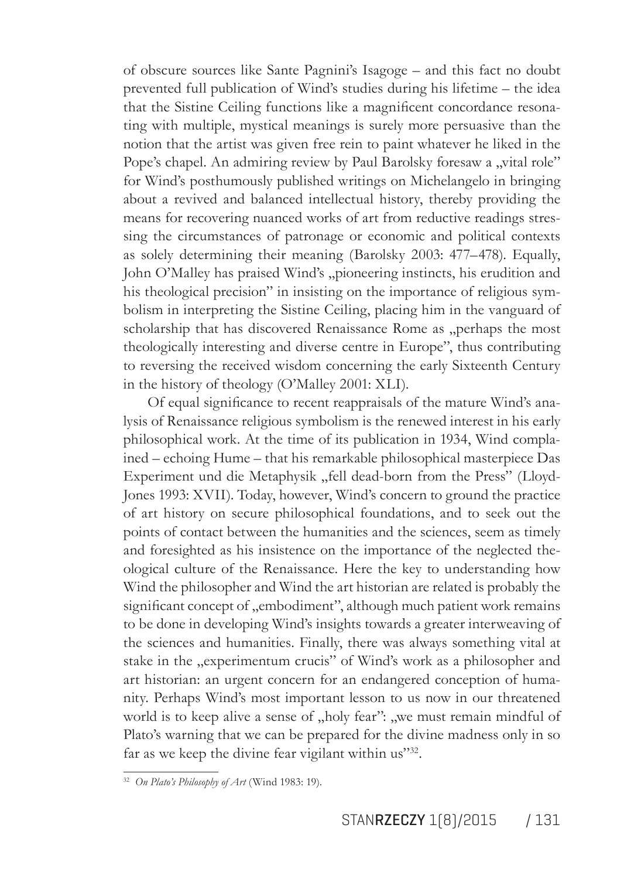of obscure sources like Sante Pagnini's Isagoge – and this fact no doubt prevented full publication of Wind's studies during his lifetime – the idea that the Sistine Ceiling functions like a magnificent concordance resonating with multiple, mystical meanings is surely more persuasive than the notion that the artist was given free rein to paint whatever he liked in the Pope's chapel. An admiring review by Paul Barolsky foresaw a "vital role" for Windís posthumously published writings on Michelangelo in bringing about a revived and balanced intellectual history, thereby providing the means for recovering nuanced works of art from reductive readings stressing the circumstances of patronage or economic and political contexts as solely determining their meaning (Barolsky 2003: 477–478). Equally, John O'Malley has praised Wind's "pioneering instincts, his erudition and his theological precision" in insisting on the importance of religious symbolism in interpreting the Sistine Ceiling, placing him in the vanguard of scholarship that has discovered Renaissance Rome as "perhaps the most theologically interesting and diverse centre in Europe", thus contributing to reversing the received wisdom concerning the early Sixteenth Century in the history of theology (O'Malley 2001: XLI).

Of equal significance to recent reappraisals of the mature Wind's analysis of Renaissance religious symbolism is the renewed interest in his early philosophical work. At the time of its publication in 1934, Wind complained – echoing Hume – that his remarkable philosophical masterpiece Das Experiment und die Metaphysik "fell dead-born from the Press" (Lloyd-Jones 1993: XVII). Today, however, Wind's concern to ground the practice of art history on secure philosophical foundations, and to seek out the points of contact between the humanities and the sciences, seem as timely and foresighted as his insistence on the importance of the neglected theological culture of the Renaissance. Here the key to understanding how Wind the philosopher and Wind the art historian are related is probably the significant concept of "embodiment", although much patient work remains to be done in developing Windís insights towards a greater interweaving of the sciences and humanities. Finally, there was always something vital at stake in the "experimentum crucis" of Wind's work as a philosopher and art historian: an urgent concern for an endangered conception of humanity. Perhaps Wind's most important lesson to us now in our threatened world is to keep alive a sense of "holy fear": "we must remain mindful of Plato's warning that we can be prepared for the divine madness only in so far as we keep the divine fear vigilant within us"32.

<sup>32</sup> *On Platoís Philosophy of Art* (Wind 1983: 19).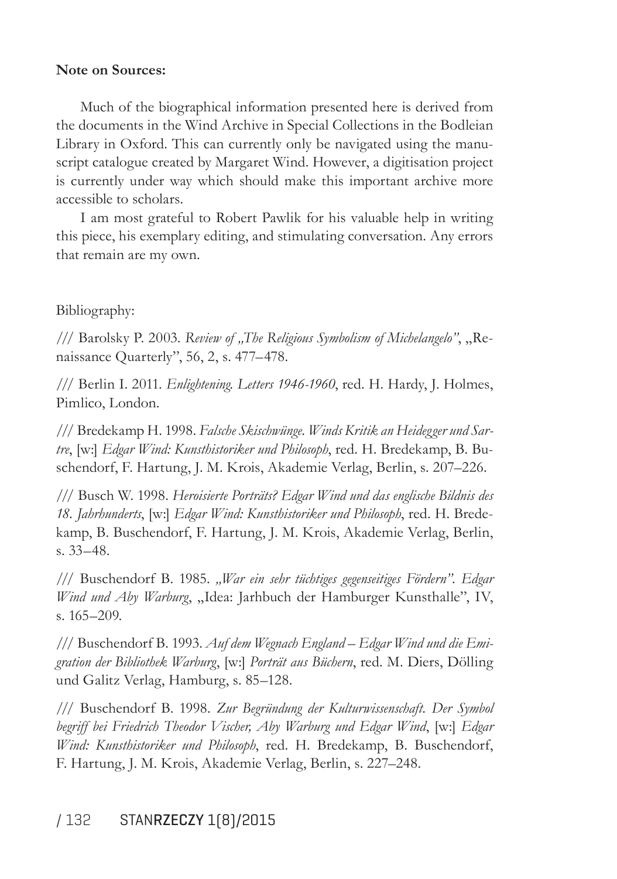#### **Note on Sources:**

Much of the biographical information presented here is derived from the documents in the Wind Archive in Special Collections in the Bodleian Library in Oxford. This can currently only be navigated using the manuscript catalogue created by Margaret Wind. However, a digitisation project is currently under way which should make this important archive more accessible to scholars.

I am most grateful to Robert Pawlik for his valuable help in writing this piece, his exemplary editing, and stimulating conversation. Any errors that remain are my own.

#### Bibliography:

/// Barolsky P. 2003. Review of "The Religious Symbolism of Michelangelo", "Renaissance Quarterly", 56, 2, s. 477–478.

/// Berlin I. 2011. *Enlightening. Letters 1946-1960*, red. H. Hardy, J. Holmes, Pimlico, London.

/// Bredekamp H. 1998. Falsche Skischwünge. Winds Kritik an Heidegger und Sar*tre*, [w:] *Edgar Wind: Kunsthistoriker und Philosoph*, red. H. Bredekamp, B. Buschendorf, F. Hartung, J. M. Krois, Akademie Verlag, Berlin, s. 207–226.

/// Busch W. 1998. *Heroisierte Portr‰ts? Edgar Wind und das englische Bildnis des 18. Jahrhunderts*, [w:] *Edgar Wind: Kunsthistoriker und Philosoph*, red. H. Bredekamp, B. Buschendorf, F. Hartung, J. M. Krois, Akademie Verlag, Berlin, s. 33–48.

/// Buschendorf B. 1985. "War ein sehr tüchtiges gegenseitiges Fördern". Edgar *Wind und Aby Warburg*, "Idea: Jarhbuch der Hamburger Kunsthalle", IV, s. 165–209.

/// Buschendorf B. 1993. Auf dem Wegnach England – Edgar Wind und die Emigration der Bibliothek Warburg, [w:] *Porträt aus Büchern*, red. M. Diers, Dölling und Galitz Verlag, Hamburg, s. 85–128.

/// Buschendorf B. 1998. Zur Begründung der Kulturwissenschaft. Der Symbol *begriff bei Friedrich Theodor Vischer, Aby Warburg und Edgar Wind*, [w:] *Edgar Wind: Kunsthistoriker und Philosoph*, red. H. Bredekamp, B. Buschendorf, F. Hartung, J. M. Krois, Akademie Verlag, Berlin, s. 227–248.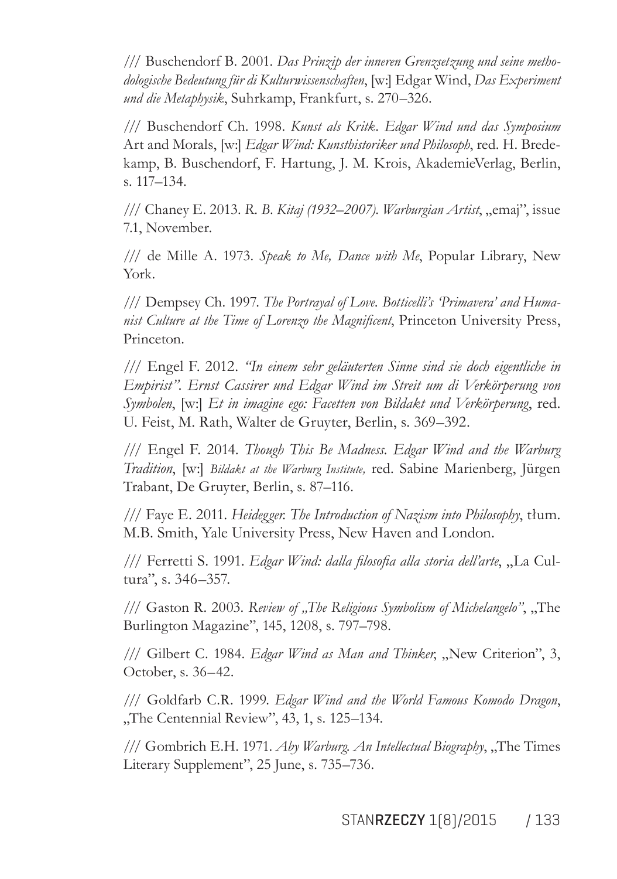/// Buschendorf B. 2001. *Das Prinzip der inneren Grenzsetzung und seine metho*dologische Bedeutung für di Kulturwissenschaften, [w:] Edgar Wind, *Das Experiment und die Metaphysik*, Suhrkamp, Frankfurt, s. 270–326.

/// Buschendorf Ch. 1998. *Kunst als Kritk. Edgar Wind und das Symposium*  Art and Morals, [w:] *Edgar Wind: Kunsthistoriker und Philosoph*, red. H. Bredekamp, B. Buschendorf, F. Hartung, J. M. Krois, AkademieVerlag, Berlin, s. 117–134.

/// Chaney E. 2013. *R. B. Kitaj (1932–2007). Warburgian Artist*, "emaj", issue 7.1, November.

/// de Mille A. 1973. *Speak to Me, Dance with Me*, Popular Library, New York.

/// Dempsey Ch. 1997. *The Portrayal of Love. Botticelliís ëPrimaveraí and Humanist Culture at the Time of Lorenzo the Magniicent*, Princeton University Press, Princeton.

/// Engel F. 2012. *ìIn einem sehr gel‰uterten Sinne sind sie doch eigentliche in*  Empirist". Ernst Cassirer und Edgar Wind im Streit um di Verkörperung von *Symbolen*, [w:] *Et in imagine ego: Facetten von Bildakt und Verkörperung*, red. U. Feist, M. Rath, Walter de Gruyter, Berlin, s. 369–392.

/// Engel F. 2014. *Though This Be Madness. Edgar Wind and the Warburg Tradition*, [w:] *Bildakt at the Warburg Institute*, red. Sabine Marienberg, Jürgen Trabant, De Gruyter, Berlin, s. 87-116.

/// Faye E. 2011. *Heidegger. The Introduction of Nazism into Philosophy*, tłum. M.B. Smith, Yale University Press, New Haven and London.

/// Ferretti S. 1991. *Edgar Wind: dalla filosofia alla storia dell'arte*, "La Cultura", s. 346–357.

/// Gaston R. 2003. *Review of "The Religious Symbolism of Michelangelo*", "The Burlington Magazine", 145, 1208, s. 797–798.

/// Gilbert C. 1984. *Edgar Wind as Man and Thinker*, "New Criterion", 3, October, s. 36–42.

/// Goldfarb C.R. 1999. *Edgar Wind and the World Famous Komodo Dragon*, "The Centennial Review", 43, 1, s. 125–134.

/// Gombrich E.H. 1971. *Aby Warburg. An Intellectual Biography*, "The Times Literary Supplement", 25 June, s. 735–736.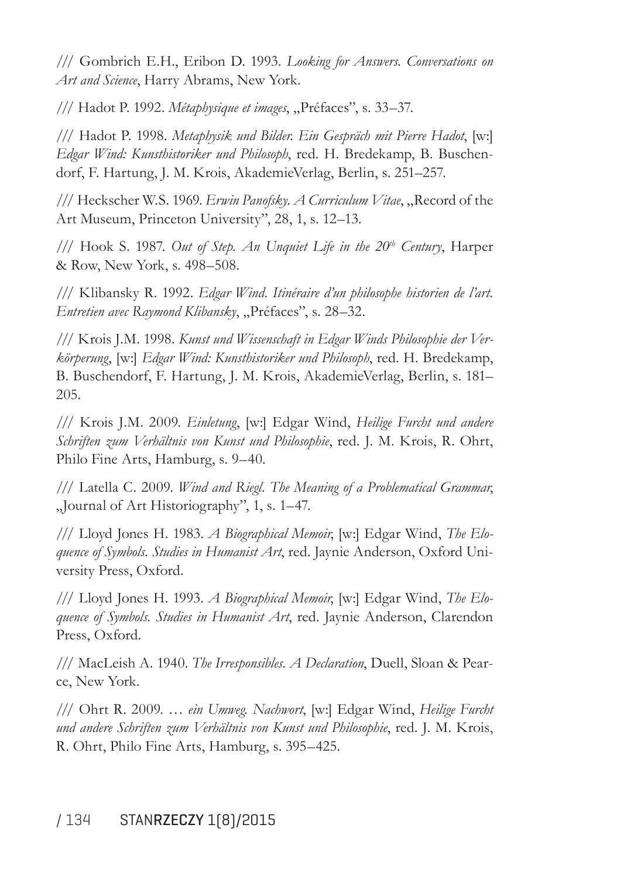/// Gombrich E.H., Eribon D. 1993. *Looking for Answers. Conversations on Art and Science*, Harry Abrams, New York.

/// Hadot P. 1992. *Métaphysique et images*, "Préfaces", s. 33–37.

/// Hadot P. 1998. Metaphysik und Bilder. Ein Gespräch mit Pierre Hadot, [w:] *Edgar Wind: Kunsthistoriker und Philosoph*, red. H. Bredekamp, B. Buschendorf, F. Hartung, J. M. Krois, AkademieVerlag, Berlin, s. 251–257.

/// Heckscher W.S. 1969. *Erwin Panofsky. A Curriculum Vitae*, "Record of the Art Museum, Princeton University", 28, 1, s. 12–13.

/// Hook S. 1987. *Out of Step. An Unquiet Life in the 20th Century*, Harper & Row, New York, s. 498–508.

/// Klibansky R. 1992. *Edgar Wind. Itinéraire d'un philosophe historien de l'art. Entretien avec Raymond Klibansky*, "Préfaces", s. 28–32.

/// Krois J.M. 1998. *Kunst und Wissenschaft in Edgar Winds Philosophie der Verkˆrperung*, [w:] *Edgar Wind: Kunsthistoriker und Philosoph*, red. H. Bredekamp, B. Buschendorf, F. Hartung, J. M. Krois, AkademieVerlag, Berlin, s. 181– 205.

/// Krois J.M. 2009. *Einletung*, [w:] Edgar Wind, *Heilige Furcht und andere Schriften zum Verh‰ltnis von Kunst und Philosophie*, red. J. M. Krois, R. Ohrt, Philo Fine Arts, Hamburg, s. 9–40.

/// Latella C. 2009. *Wind and Riegl. The Meaning of a Problematical Grammar*,  $\mathcal{L}$  Journal of Art Historiography", 1, s. 1–47.

/// Lloyd Jones H. 1983. *A Biographical Memoir*, [w:] Edgar Wind, *The Eloquence of Symbols. Studies in Humanist Art*, red. Jaynie Anderson, Oxford University Press, Oxford.

/// Lloyd Jones H. 1993. *A Biographical Memoir*, [w:] Edgar Wind, *The Eloquence of Symbols. Studies in Humanist Art*, red. Jaynie Anderson, Clarendon Press, Oxford.

/// MacLeish A. 1940. *The Irresponsibles. A Declaration*, Duell, Sloan & Pearce, New York.

/// Ohrt R. 2009. ... ein Umweg. Nachwort, [w:] Edgar Wind, *Heilige Furcht und andere Schriften zum Verh‰ltnis von Kunst und Philosophie*, red. J. M. Krois, R. Ohrt, Philo Fine Arts, Hamburg, s. 395–425.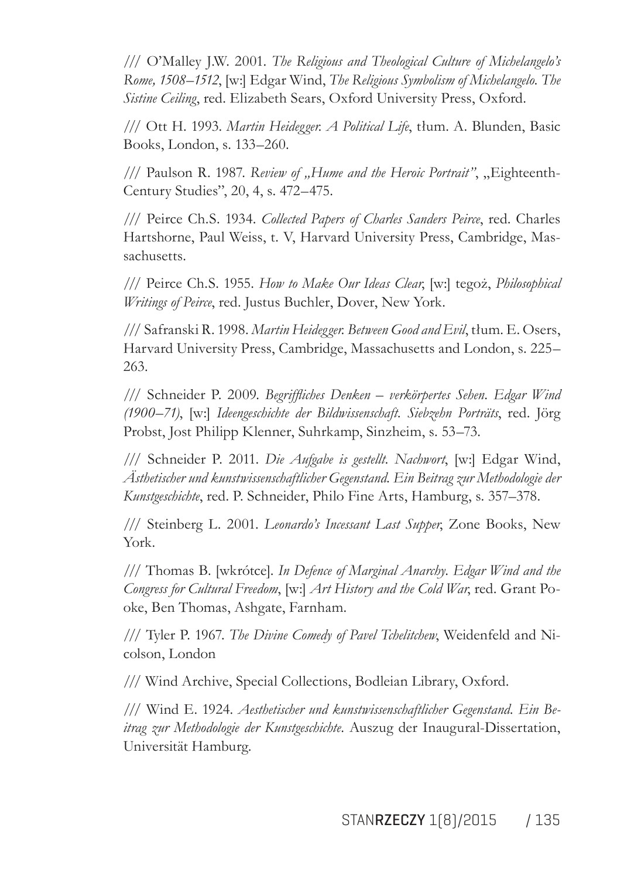/// O'Malley J.W. 2001. *The Religious and Theological Culture of Michelangeloís Rome, 1508–1512*, [w:] Edgar Wind, *The Religious Symbolism of Michelangelo. The Sistine Ceiling*, red. Elizabeth Sears, Oxford University Press, Oxford.

/// Ott H. 1993. *Martin Heidegger. A Political Life*, tłum. A. Blunden, Basic Books, London, s. 133–260.

/// Paulson R. 1987. Review of "Hume and the Heroic Portrait", "Eighteenth-Century Studies", 20, 4, s. 472–475.

/// Peirce Ch.S. 1934. *Collected Papers of Charles Sanders Peirce*, red. Charles Hartshorne, Paul Weiss, t. V, Harvard University Press, Cambridge, Massachusetts.

/// Peirce Ch.S. 1955. *How to Make Our Ideas Clear*, [w:] tegoż, *Philosophical Writings of Peirce*, red. Justus Buchler, Dover, New York.

/// Safranski R. 1998. *Martin Heidegger. Between Good and Evil*, tłum. E. Osers, Harvard University Press, Cambridge, Massachusetts and London, s. 225– 263.

/// Schneider P. 2009. *Begrifliches Denken – verkörpertes Sehen. Edgar Wind (1900–71)*, [w:] *Ideengeschichte der Bildwissenschaft. Siebzehn Porträts*, red. Jörg Probst, Jost Philipp Klenner, Suhrkamp, Sinzheim, s. 53–73.

/// Schneider P. 2011. *Die Aufgabe is gestellt. Nachwort*, [w:] Edgar Wind, *ƒsthetischer und kunstwissenschaftlicher Gegenstand. Ein Beitrag zur Methodologie der Kunstgeschichte*, red. P. Schneider, Philo Fine Arts, Hamburg, s. 357–378.

/// Steinberg L. 2001. *Leonardoís Incessant Last Supper*, Zone Books, New York.

/// Thomas B. [wkrótce]. *In Defence of Marginal Anarchy. Edgar Wind and the Congress for Cultural Freedom*, [w:] *Art History and the Cold War*, red. Grant Pooke, Ben Thomas, Ashgate, Farnham.

/// Tyler P. 1967. *The Divine Comedy of Pavel Tchelitchew*, Weidenfeld and Nicolson, London

/// Wind Archive, Special Collections, Bodleian Library, Oxford.

/// Wind E. 1924. *Aesthetischer und kunstwissenschaftlicher Gegenstand. Ein Beitrag zur Methodologie der Kunstgeschichte*. Auszug der Inaugural-Dissertation, Universität Hamburg.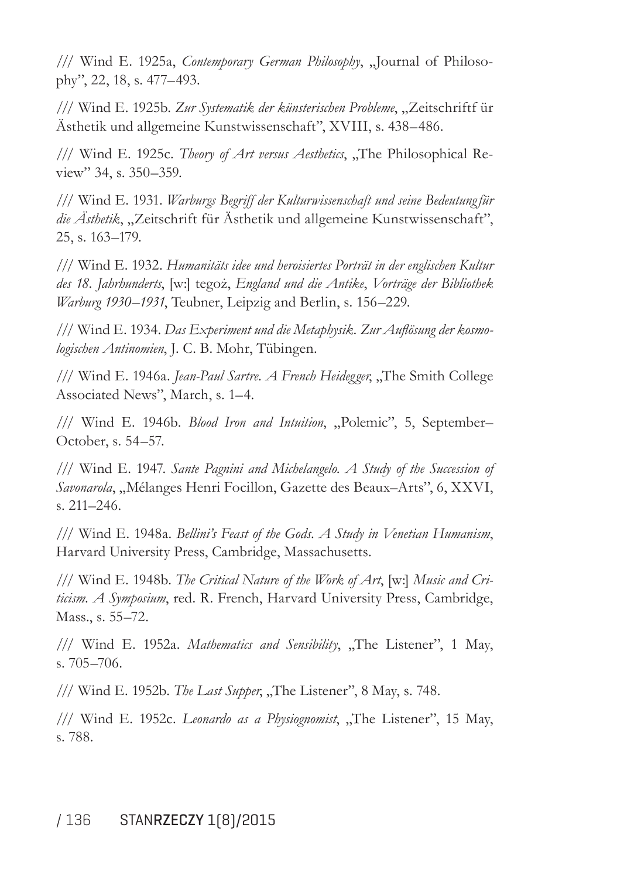/// Wind E. 1925a, *Contemporary German Philosophy*, "Journal of Philosophy", 22, 18, s. 477–493.

/// Wind E. 1925b. Zur Systematik der künsterischen Probleme, "Zeitschriftf ür Ästhetik und allgemeine Kunstwissenschaft", XVIII, s. 438–486.

/// Wind E. 1925c. *Theory of Art versus Aesthetics*, "The Philosophical Review" 34, s. 350–359.

/// Wind E. 1931. *Warburgs Begriff der Kulturwissenschaft und seine Bedeutung für* die Ästhetik, "Zeitschrift für Ästhetik und allgemeine Kunstwissenschaft", 25, s. 163–179.

/// Wind E. 1932. *Humanit‰ts idee und heroisiertes Portr‰t in der englischen Kultur*  des 18. Jahrhunderts, [w:] tegoż, *England und die Antike*, Vorträge der Bibliothek *Warburg 1930–1931*, Teubner, Leipzig and Berlin, s. 156–229.

/// Wind E. 1934. *Das Experiment und die Metaphysik. Zur Aulösung der kosmo*logischen Antinomien, J. C. B. Mohr, Tübingen.

/// Wind E. 1946a. *Jean-Paul Sartre. A French Heidegger*, "The Smith College Associated News", March, s. 1–4.

/// Wind E. 1946b. *Blood Iron and Intuition*, "Polemic", 5, September– October, s. 54–57.

/// Wind E. 1947. *Sante Pagnini and Michelangelo. A Study of the Succession of*  Savonarola, "Mélanges Henri Focillon, Gazette des Beaux–Arts", 6, XXVI, s. 211–246.

/// Wind E. 1948a. *Belliniís Feast of the Gods. A Study in Venetian Humanism*, Harvard University Press, Cambridge, Massachusetts.

/// Wind E. 1948b. *The Critical Nature of the Work of Art*, [w:] *Music and Criticism. A Symposium*, red. R. French, Harvard University Press, Cambridge, Mass., s. 55–72.

/// Wind E. 1952a. *Mathematics and Sensibility*, "The Listener", 1 May, s. 705-706.

/// Wind E. 1952b. *The Last Supper*, "The Listener", 8 May, s. 748.

/// Wind E. 1952c. *Leonardo as a Physiognomist*, "The Listener", 15 May, s. 788.